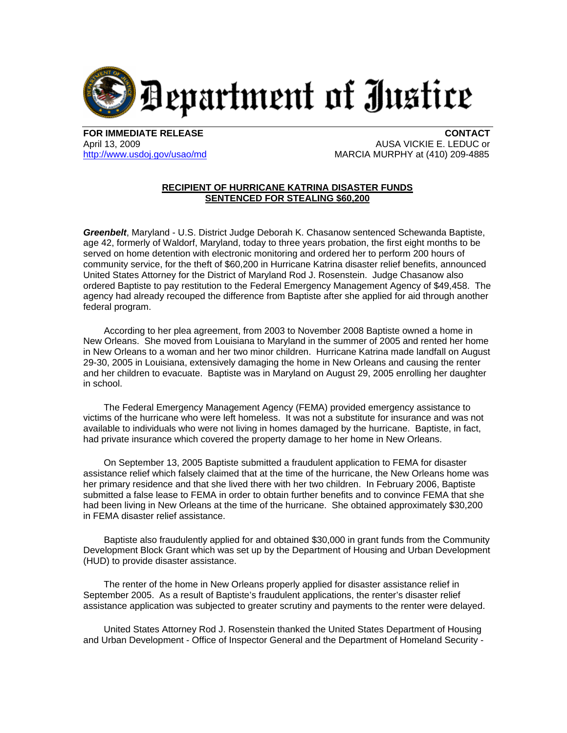

**FOR IMMEDIATE RELEASE CONTACT**

April 13, 2009 **AUSA VICKIE E. LEDUC or** [http://www.usdoj.gov/usao/md](http://www.usdoj.gov/usao/md/) **MARCIA MURPHY at (410)** 209-4885

## **RECIPIENT OF HURRICANE KATRINA DISASTER FUNDS SENTENCED FOR STEALING \$60,200**

*Greenbelt*, Maryland - U.S. District Judge Deborah K. Chasanow sentenced Schewanda Baptiste, age 42, formerly of Waldorf, Maryland, today to three years probation, the first eight months to be served on home detention with electronic monitoring and ordered her to perform 200 hours of community service, for the theft of \$60,200 in Hurricane Katrina disaster relief benefits, announced United States Attorney for the District of Maryland Rod J. Rosenstein. Judge Chasanow also ordered Baptiste to pay restitution to the Federal Emergency Management Agency of \$49,458. The agency had already recouped the difference from Baptiste after she applied for aid through another federal program.

 According to her plea agreement, from 2003 to November 2008 Baptiste owned a home in New Orleans. She moved from Louisiana to Maryland in the summer of 2005 and rented her home in New Orleans to a woman and her two minor children. Hurricane Katrina made landfall on August 29-30, 2005 in Louisiana, extensively damaging the home in New Orleans and causing the renter and her children to evacuate. Baptiste was in Maryland on August 29, 2005 enrolling her daughter in school.

 The Federal Emergency Management Agency (FEMA) provided emergency assistance to victims of the hurricane who were left homeless. It was not a substitute for insurance and was not available to individuals who were not living in homes damaged by the hurricane. Baptiste, in fact, had private insurance which covered the property damage to her home in New Orleans.

 On September 13, 2005 Baptiste submitted a fraudulent application to FEMA for disaster assistance relief which falsely claimed that at the time of the hurricane, the New Orleans home was her primary residence and that she lived there with her two children. In February 2006, Baptiste submitted a false lease to FEMA in order to obtain further benefits and to convince FEMA that she had been living in New Orleans at the time of the hurricane. She obtained approximately \$30,200 in FEMA disaster relief assistance.

 Baptiste also fraudulently applied for and obtained \$30,000 in grant funds from the Community Development Block Grant which was set up by the Department of Housing and Urban Development (HUD) to provide disaster assistance.

 The renter of the home in New Orleans properly applied for disaster assistance relief in September 2005. As a result of Baptiste's fraudulent applications, the renter's disaster relief assistance application was subjected to greater scrutiny and payments to the renter were delayed.

 United States Attorney Rod J. Rosenstein thanked the United States Department of Housing and Urban Development - Office of Inspector General and the Department of Homeland Security -